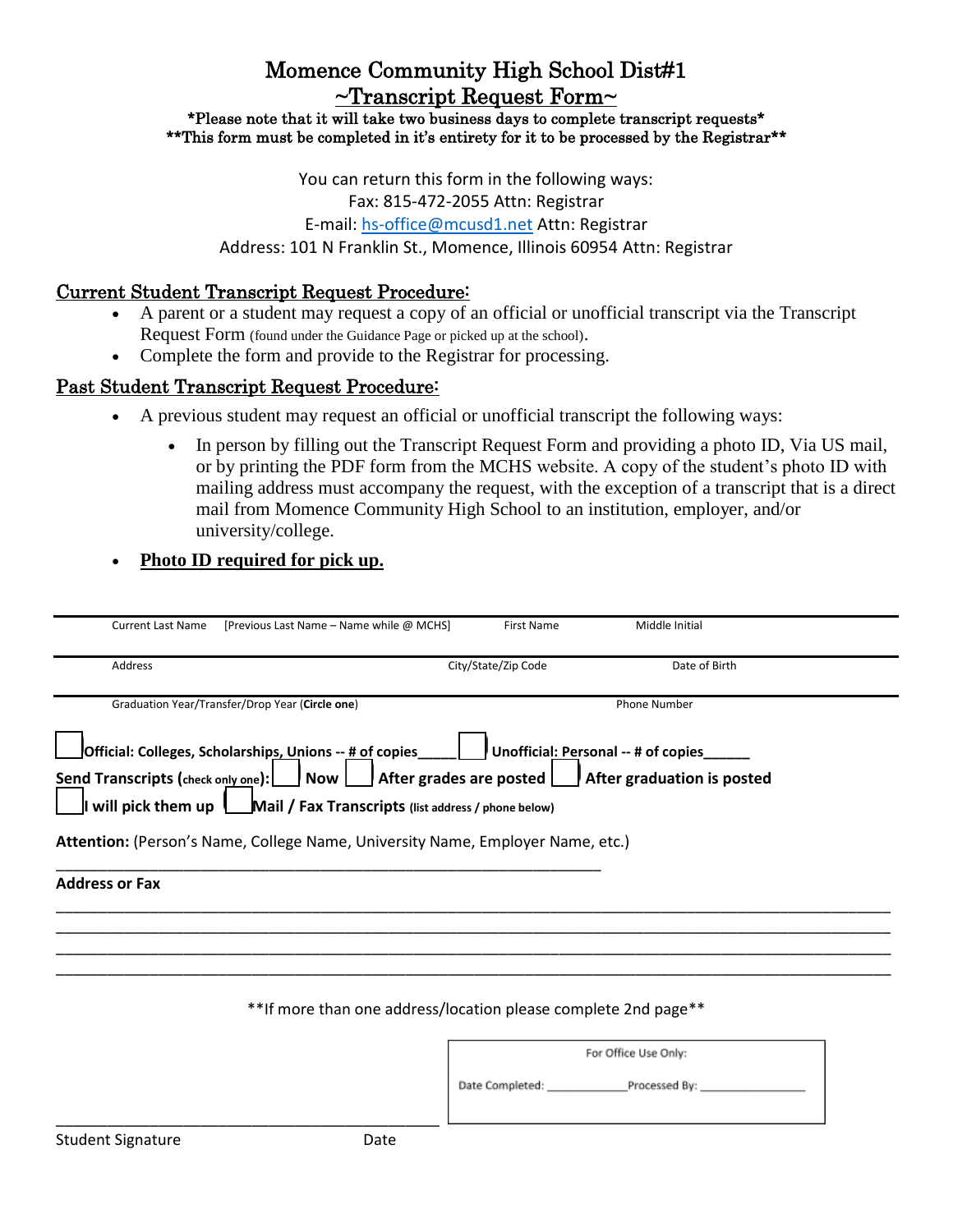## Momence Community High School Dist#1 ~Transcript Request Form~

\*Please note that it will take two business days to complete transcript requests\* \*\*This form must be completed in it's entirety for it to be processed by the Registrar\*\*

You can return this form in the following ways:

Fax: 815-472-2055 Attn: Registrar

E-mail: [hs-office@mcusd1.net](mailto:hs-office@mcusd1.net) Attn: Registrar

Address: 101 N Franklin St., Momence, Illinois 60954 Attn: Registrar

### Current Student Transcript Request Procedure:

- A parent or a student may request a copy of an official or unofficial transcript via the Transcript Request Form (found under the Guidance Page or picked up at the school).
- Complete the form and provide to the Registrar for processing.

#### Past Student Transcript Request Procedure:

- A previous student may request an official or unofficial transcript the following ways:
	- In person by filling out the Transcript Request Form and providing a photo ID, Via US mail, or by printing the PDF form from the MCHS website. A copy of the student's photo ID with mailing address must accompany the request, with the exception of a transcript that is a direct mail from Momence Community High School to an institution, employer, and/or university/college.

### **Photo ID required for pick up.**

\_\_\_\_\_\_\_\_\_\_\_\_\_\_\_\_\_\_\_\_\_\_\_\_\_\_\_\_\_\_\_\_\_\_\_\_\_\_\_\_\_\_\_\_\_

| <b>Current Last Name</b><br>[Previous Last Name – Name while @ MCHS]                                                                                                            | <b>First Name</b>   | Middle Initial                      |  |
|---------------------------------------------------------------------------------------------------------------------------------------------------------------------------------|---------------------|-------------------------------------|--|
| Address                                                                                                                                                                         | City/State/Zip Code | Date of Birth                       |  |
| Graduation Year/Transfer/Drop Year (Circle one)                                                                                                                                 |                     | <b>Phone Number</b>                 |  |
| <b>JOfficial: Colleges, Scholarships, Unions -- # of copies</b>                                                                                                                 |                     | Unofficial: Personal -- # of copies |  |
| Send Transcripts (check only one):   Now   After grades are posted   After graduation is posted<br>will pick them up $\Box$ Mail / Fax Transcripts (list address / phone below) |                     |                                     |  |
| Attention: (Person's Name, College Name, University Name, Employer Name, etc.)                                                                                                  |                     |                                     |  |
| <b>Address or Fax</b>                                                                                                                                                           |                     |                                     |  |
|                                                                                                                                                                                 |                     |                                     |  |
|                                                                                                                                                                                 |                     |                                     |  |
|                                                                                                                                                                                 |                     |                                     |  |

#### \*\*If more than one address/location please complete 2nd page\*\*

For Office Use Only:

Date Completed: Processed By: